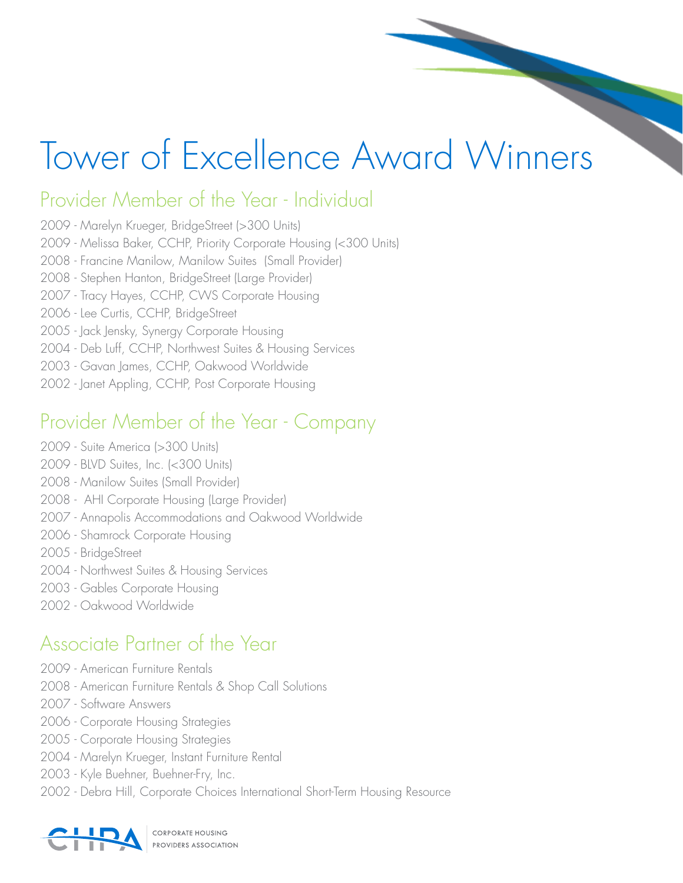# Tower of Excellence Award Winners

## Provider Member of the Year - Individual

- 2009 Marelyn Krueger, BridgeStreet (>300 Units)
- 2009 Melissa Baker, CCHP, Priority Corporate Housing (<300 Units)
- 2008 Francine Manilow, Manilow Suites (Small Provider)
- 2008 Stephen Hanton, BridgeStreet (Large Provider)
- 2007 Tracy Hayes, CCHP, CWS Corporate Housing
- 2006 Lee Curtis, CCHP, BridgeStreet
- 2005 Jack Jensky, Synergy Corporate Housing
- 2004 Deb Luff, CCHP, Northwest Suites & Housing Services
- 2003 Gavan James, CCHP, Oakwood Worldwide
- 2002 Janet Appling, CCHP, Post Corporate Housing

## Provider Member of the Year - Company

- 2009 Suite America (>300 Units)
- 2009 BLVD Suites, Inc. (<300 Units)
- 2008 Manilow Suites (Small Provider)
- 2008 AHI Corporate Housing (Large Provider)
- 2007 Annapolis Accommodations and Oakwood Worldwide
- 2006 Shamrock Corporate Housing
- 2005 BridgeStreet
- 2004 Northwest Suites & Housing Services
- 2003 Gables Corporate Housing
- 2002 Oakwood Worldwide

#### Associate Partner of the Year

- 2009 American Furniture Rentals
- 2008 American Furniture Rentals & Shop Call Solutions
- 2007 Software Answers
- 2006 Corporate Housing Strategies
- 2005 Corporate Housing Strategies
- 2004 Marelyn Krueger, Instant Furniture Rental
- 2003 Kyle Buehner, Buehner-Fry, Inc.
- 2002 Debra Hill, Corporate Choices International Short-Term Housing Resource